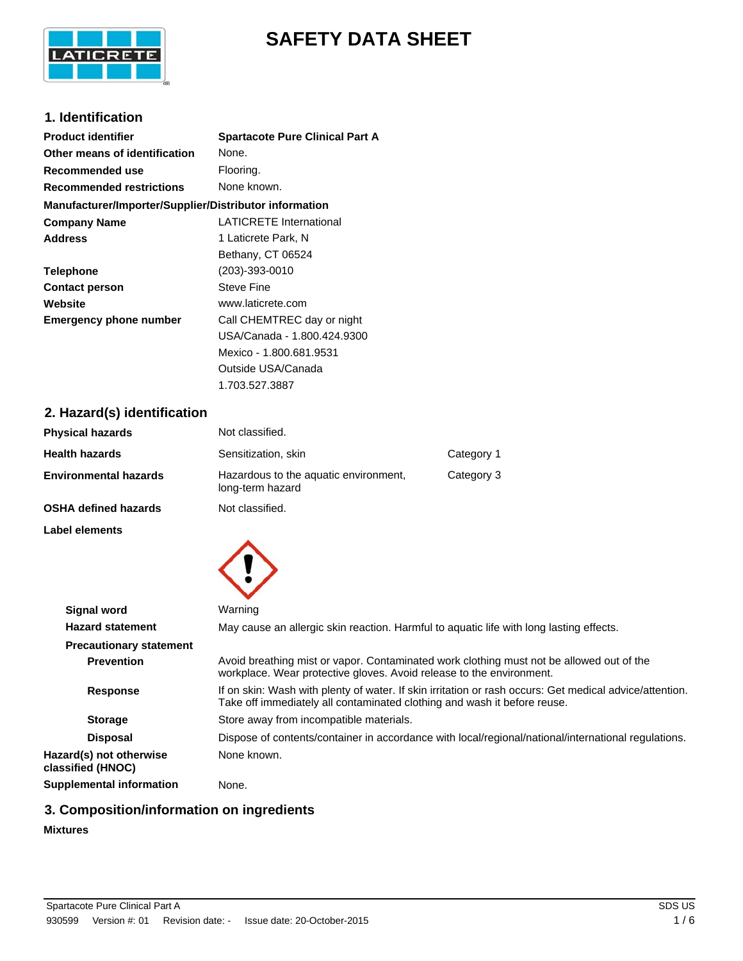

# **SAFETY DATA SHEET**

### **1. Identification**

| <b>Product identifier</b>                              | <b>Spartacote Pure Clinical Part A</b> |
|--------------------------------------------------------|----------------------------------------|
| Other means of identification                          | None.                                  |
| Recommended use                                        | Flooring.                              |
| <b>Recommended restrictions</b>                        | None known.                            |
| Manufacturer/Importer/Supplier/Distributor information |                                        |
| <b>Company Name</b>                                    | <b>LATICRETE International</b>         |
| <b>Address</b>                                         | 1 Laticrete Park, N                    |
|                                                        | Bethany, CT 06524                      |
| <b>Telephone</b>                                       | $(203) - 393 - 0010$                   |
| <b>Contact person</b>                                  | Steve Fine                             |
| Website                                                | www.laticrete.com                      |
| <b>Emergency phone number</b>                          | Call CHEMTREC day or night             |
|                                                        | USA/Canada - 1.800.424.9300            |
|                                                        | Mexico - 1.800.681.9531                |
|                                                        | Outside USA/Canada                     |

## **2. Hazard(s) identification**

| <b>Physical hazards</b> | Not classified.                                           |            |
|-------------------------|-----------------------------------------------------------|------------|
| Health hazards          | Sensitization, skin                                       | Category 1 |
| Environmental hazards   | Hazardous to the aquatic environment,<br>long-term hazard | Category 3 |
| OSHA defined hazards    | Not classified.                                           |            |

1.703.527.3887

**Label elements**



|                                              | $\sim$                                                                                                                                                                              |
|----------------------------------------------|-------------------------------------------------------------------------------------------------------------------------------------------------------------------------------------|
| <b>Signal word</b>                           | Warning                                                                                                                                                                             |
| <b>Hazard statement</b>                      | May cause an allergic skin reaction. Harmful to aquatic life with long lasting effects.                                                                                             |
| <b>Precautionary statement</b>               |                                                                                                                                                                                     |
| <b>Prevention</b>                            | Avoid breathing mist or vapor. Contaminated work clothing must not be allowed out of the<br>workplace. Wear protective gloves. Avoid release to the environment.                    |
| <b>Response</b>                              | If on skin: Wash with plenty of water. If skin irritation or rash occurs: Get medical advice/attention.<br>Take off immediately all contaminated clothing and wash it before reuse. |
| <b>Storage</b>                               | Store away from incompatible materials.                                                                                                                                             |
| <b>Disposal</b>                              | Dispose of contents/container in accordance with local/regional/national/international regulations.                                                                                 |
| Hazard(s) not otherwise<br>classified (HNOC) | None known.                                                                                                                                                                         |
| <b>Supplemental information</b>              | None.                                                                                                                                                                               |

## **3. Composition/information on ingredients**

## **Mixtures**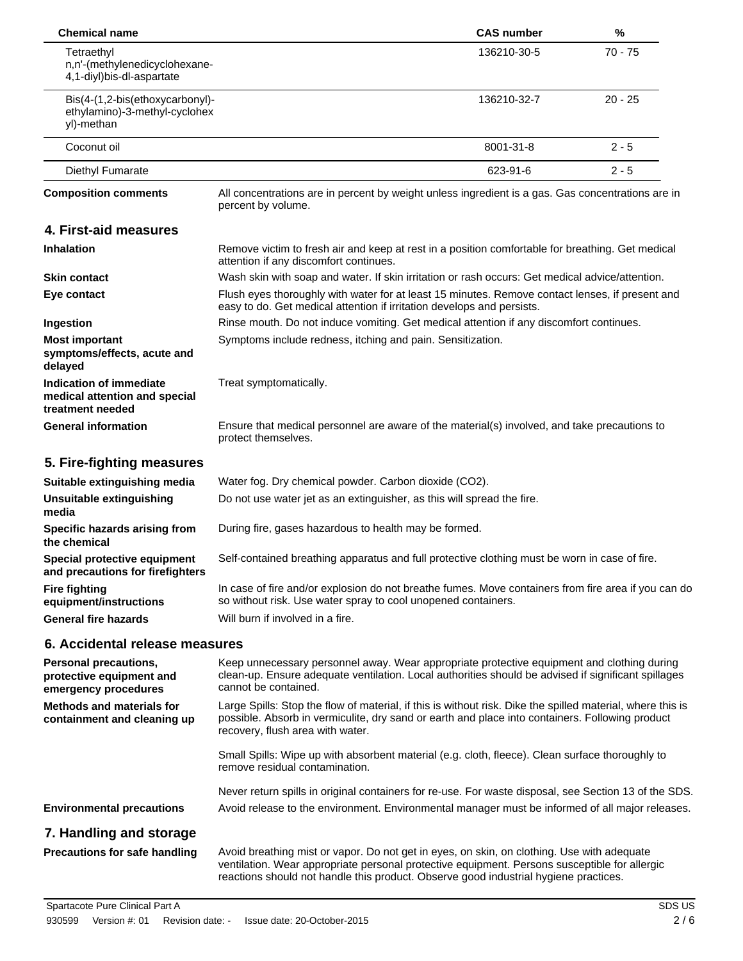| <b>Chemical name</b>                                                           |                                                                                                                                                                                                                                                                                     | <b>CAS number</b>                                                                                                                                                         | %         |  |
|--------------------------------------------------------------------------------|-------------------------------------------------------------------------------------------------------------------------------------------------------------------------------------------------------------------------------------------------------------------------------------|---------------------------------------------------------------------------------------------------------------------------------------------------------------------------|-----------|--|
| Tetraethyl<br>n,n'-(methylenedicyclohexane-<br>4,1-diyl)bis-dl-aspartate       |                                                                                                                                                                                                                                                                                     | 136210-30-5                                                                                                                                                               | 70 - 75   |  |
| Bis(4-(1,2-bis(ethoxycarbonyl)-<br>ethylamino)-3-methyl-cyclohex<br>yl)-methan |                                                                                                                                                                                                                                                                                     | 136210-32-7                                                                                                                                                               | $20 - 25$ |  |
| Coconut oil                                                                    |                                                                                                                                                                                                                                                                                     | 8001-31-8                                                                                                                                                                 | $2 - 5$   |  |
| Diethyl Fumarate                                                               |                                                                                                                                                                                                                                                                                     | 623-91-6                                                                                                                                                                  | $2 - 5$   |  |
| <b>Composition comments</b>                                                    | All concentrations are in percent by weight unless ingredient is a gas. Gas concentrations are in<br>percent by volume.                                                                                                                                                             |                                                                                                                                                                           |           |  |
| 4. First-aid measures                                                          |                                                                                                                                                                                                                                                                                     |                                                                                                                                                                           |           |  |
| <b>Inhalation</b>                                                              | Remove victim to fresh air and keep at rest in a position comfortable for breathing. Get medical<br>attention if any discomfort continues.                                                                                                                                          |                                                                                                                                                                           |           |  |
| <b>Skin contact</b>                                                            | Wash skin with soap and water. If skin irritation or rash occurs: Get medical advice/attention.                                                                                                                                                                                     |                                                                                                                                                                           |           |  |
| Eye contact                                                                    |                                                                                                                                                                                                                                                                                     | Flush eyes thoroughly with water for at least 15 minutes. Remove contact lenses, if present and<br>easy to do. Get medical attention if irritation develops and persists. |           |  |
| Ingestion                                                                      | Rinse mouth. Do not induce vomiting. Get medical attention if any discomfort continues.                                                                                                                                                                                             |                                                                                                                                                                           |           |  |
| <b>Most important</b><br>symptoms/effects, acute and<br>delayed                | Symptoms include redness, itching and pain. Sensitization.                                                                                                                                                                                                                          |                                                                                                                                                                           |           |  |
| Indication of immediate<br>medical attention and special<br>treatment needed   | Treat symptomatically.                                                                                                                                                                                                                                                              |                                                                                                                                                                           |           |  |
| <b>General information</b>                                                     | Ensure that medical personnel are aware of the material(s) involved, and take precautions to<br>protect themselves.                                                                                                                                                                 |                                                                                                                                                                           |           |  |
| 5. Fire-fighting measures                                                      |                                                                                                                                                                                                                                                                                     |                                                                                                                                                                           |           |  |
| Suitable extinguishing media                                                   | Water fog. Dry chemical powder. Carbon dioxide (CO2).                                                                                                                                                                                                                               |                                                                                                                                                                           |           |  |
| Unsuitable extinguishing<br>media                                              | Do not use water jet as an extinguisher, as this will spread the fire.                                                                                                                                                                                                              |                                                                                                                                                                           |           |  |
| Specific hazards arising from<br>the chemical                                  | During fire, gases hazardous to health may be formed.                                                                                                                                                                                                                               |                                                                                                                                                                           |           |  |
| Special protective equipment<br>and precautions for firefighters               | Self-contained breathing apparatus and full protective clothing must be worn in case of fire.                                                                                                                                                                                       |                                                                                                                                                                           |           |  |
| <b>Fire fighting</b><br>equipment/instructions                                 | In case of fire and/or explosion do not breathe fumes. Move containers from fire area if you can do<br>so without risk. Use water spray to cool unopened containers.                                                                                                                |                                                                                                                                                                           |           |  |
| <b>General fire hazards</b>                                                    | Will burn if involved in a fire.                                                                                                                                                                                                                                                    |                                                                                                                                                                           |           |  |
| 6. Accidental release measures                                                 |                                                                                                                                                                                                                                                                                     |                                                                                                                                                                           |           |  |
| Personal precautions,<br>protective equipment and<br>emergency procedures      | Keep unnecessary personnel away. Wear appropriate protective equipment and clothing during<br>clean-up. Ensure adequate ventilation. Local authorities should be advised if significant spillages<br>cannot be contained.                                                           |                                                                                                                                                                           |           |  |
| <b>Methods and materials for</b><br>containment and cleaning up                | Large Spills: Stop the flow of material, if this is without risk. Dike the spilled material, where this is<br>possible. Absorb in vermiculite, dry sand or earth and place into containers. Following product<br>recovery, flush area with water.                                   |                                                                                                                                                                           |           |  |
|                                                                                | Small Spills: Wipe up with absorbent material (e.g. cloth, fleece). Clean surface thoroughly to<br>remove residual contamination.                                                                                                                                                   |                                                                                                                                                                           |           |  |
|                                                                                | Never return spills in original containers for re-use. For waste disposal, see Section 13 of the SDS.                                                                                                                                                                               |                                                                                                                                                                           |           |  |
| <b>Environmental precautions</b>                                               | Avoid release to the environment. Environmental manager must be informed of all major releases.                                                                                                                                                                                     |                                                                                                                                                                           |           |  |
| 7. Handling and storage                                                        |                                                                                                                                                                                                                                                                                     |                                                                                                                                                                           |           |  |
| <b>Precautions for safe handling</b>                                           | Avoid breathing mist or vapor. Do not get in eyes, on skin, on clothing. Use with adequate<br>ventilation. Wear appropriate personal protective equipment. Persons susceptible for allergic<br>reactions should not handle this product. Observe good industrial hygiene practices. |                                                                                                                                                                           |           |  |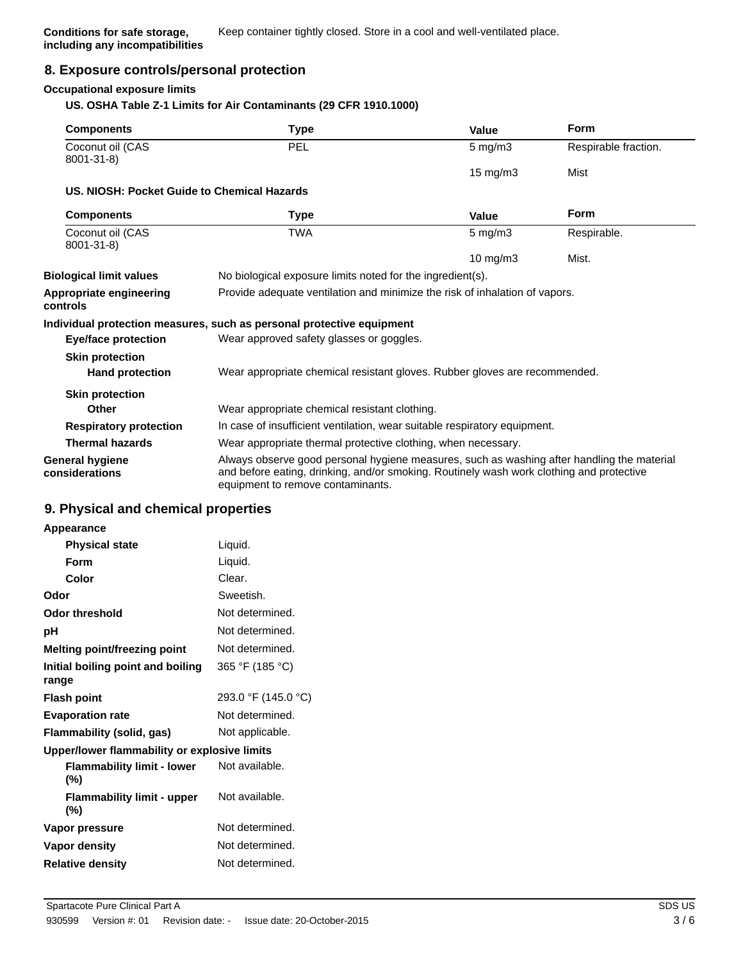### **8. Exposure controls/personal protection**

#### **Occupational exposure limits**

#### **US. OSHA Table Z-1 Limits for Air Contaminants (29 CFR 1910.1000)**

| <b>Components</b>                                | Type                                                                                                                                                                                                                        | Value            | Form                 |
|--------------------------------------------------|-----------------------------------------------------------------------------------------------------------------------------------------------------------------------------------------------------------------------------|------------------|----------------------|
| Coconut oil (CAS<br>8001-31-8)                   | <b>PEL</b>                                                                                                                                                                                                                  | $5$ mg/m $3$     | Respirable fraction. |
|                                                  |                                                                                                                                                                                                                             | 15 mg/m3         | Mist                 |
| US. NIOSH: Pocket Guide to Chemical Hazards      |                                                                                                                                                                                                                             |                  |                      |
| <b>Components</b>                                | Type                                                                                                                                                                                                                        | Value            | <b>Form</b>          |
| Coconut oil (CAS<br>8001-31-8)                   | <b>TWA</b>                                                                                                                                                                                                                  | $5 \text{ mg/m}$ | Respirable.          |
|                                                  |                                                                                                                                                                                                                             | 10 mg/m $3$      | Mist.                |
| <b>Biological limit values</b>                   | No biological exposure limits noted for the ingredient(s).                                                                                                                                                                  |                  |                      |
| Appropriate engineering<br>controls              | Provide adequate ventilation and minimize the risk of inhalation of vapors.                                                                                                                                                 |                  |                      |
|                                                  | Individual protection measures, such as personal protective equipment                                                                                                                                                       |                  |                      |
| <b>Eye/face protection</b>                       | Wear approved safety glasses or goggles.                                                                                                                                                                                    |                  |                      |
| <b>Skin protection</b><br><b>Hand protection</b> | Wear appropriate chemical resistant gloves. Rubber gloves are recommended.                                                                                                                                                  |                  |                      |
|                                                  |                                                                                                                                                                                                                             |                  |                      |
| <b>Skin protection</b><br>Other                  | Wear appropriate chemical resistant clothing.                                                                                                                                                                               |                  |                      |
| <b>Respiratory protection</b>                    | In case of insufficient ventilation, wear suitable respiratory equipment.                                                                                                                                                   |                  |                      |
| <b>Thermal hazards</b>                           | Wear appropriate thermal protective clothing, when necessary.                                                                                                                                                               |                  |                      |
| <b>General hygiene</b><br>considerations         | Always observe good personal hygiene measures, such as washing after handling the material<br>and before eating, drinking, and/or smoking. Routinely wash work clothing and protective<br>equipment to remove contaminants. |                  |                      |

#### **9. Physical and chemical properties**

| Appearance                                   |                     |
|----------------------------------------------|---------------------|
| <b>Physical state</b>                        | Liquid.             |
| Form                                         | Liquid.             |
| Color                                        | Clear.              |
| Odor                                         | Sweetish.           |
| Odor threshold                               | Not determined.     |
| рH                                           | Not determined.     |
| Melting point/freezing point                 | Not determined.     |
| Initial boiling point and boiling<br>range   | 365 °F (185 °C)     |
| <b>Flash point</b>                           | 293.0 °F (145.0 °C) |
| <b>Evaporation rate</b>                      | Not determined.     |
| Flammability (solid, gas)                    | Not applicable.     |
| Upper/lower flammability or explosive limits |                     |
| <b>Flammability limit - lower</b><br>(%)     | Not available.      |
| <b>Flammability limit - upper</b><br>(%)     | Not available.      |
| Vapor pressure                               | Not determined.     |
| Vapor density                                | Not determined.     |
| <b>Relative density</b>                      | Not determined.     |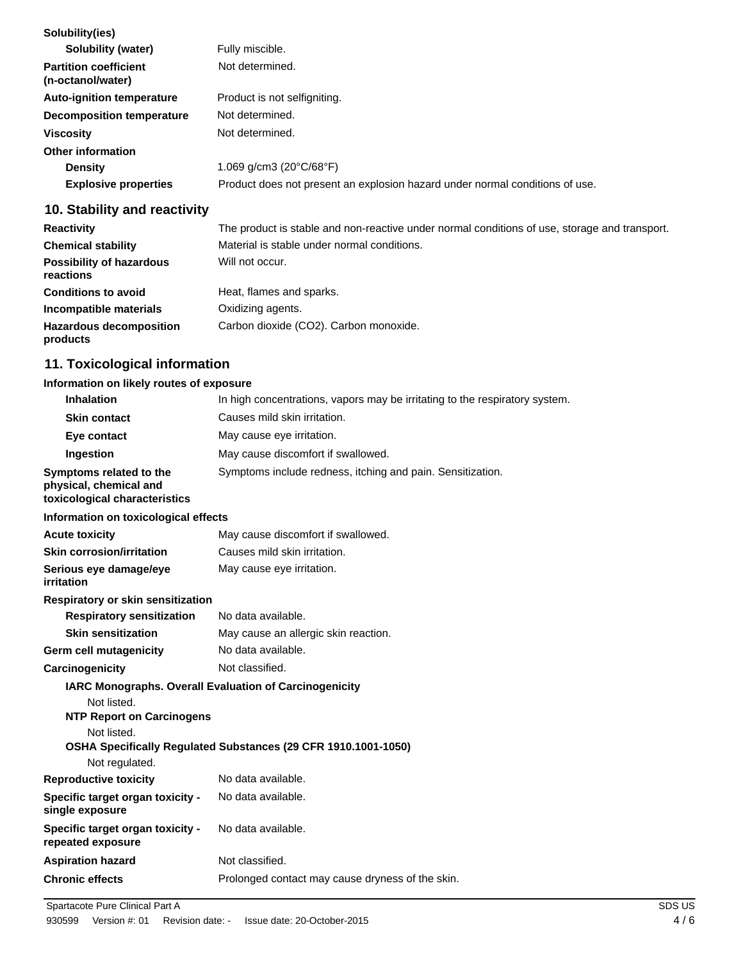| Solubility(ies)                                   |                                                                              |
|---------------------------------------------------|------------------------------------------------------------------------------|
| <b>Solubility (water)</b>                         | Fully miscible.                                                              |
| <b>Partition coefficient</b><br>(n-octanol/water) | Not determined.                                                              |
| <b>Auto-ignition temperature</b>                  | Product is not selfigniting.                                                 |
| Decomposition temperature                         | Not determined.                                                              |
| <b>Viscosity</b>                                  | Not determined.                                                              |
| Other information                                 |                                                                              |
| <b>Density</b>                                    | 1.069 $q/cm3 (20^{\circ}C/68^{\circ}F)$                                      |
| <b>Explosive properties</b>                       | Product does not present an explosion hazard under normal conditions of use. |
|                                                   |                                                                              |

## **10. Stability and reactivity**

| <b>Reactivity</b>                            | The product is stable and non-reactive under normal conditions of use, storage and transport. |
|----------------------------------------------|-----------------------------------------------------------------------------------------------|
| <b>Chemical stability</b>                    | Material is stable under normal conditions.                                                   |
| <b>Possibility of hazardous</b><br>reactions | Will not occur.                                                                               |
| <b>Conditions to avoid</b>                   | Heat, flames and sparks.                                                                      |
| Incompatible materials                       | Oxidizing agents.                                                                             |
| <b>Hazardous decomposition</b><br>products   | Carbon dioxide (CO2). Carbon monoxide.                                                        |

## **11. Toxicological information**

## **Information on likely routes of exposure**

| <b>Inhalation</b>                                                                  | In high concentrations, vapors may be irritating to the respiratory system. |
|------------------------------------------------------------------------------------|-----------------------------------------------------------------------------|
| <b>Skin contact</b>                                                                | Causes mild skin irritation.                                                |
| Eye contact                                                                        | May cause eye irritation.                                                   |
| Ingestion                                                                          | May cause discomfort if swallowed.                                          |
| Symptoms related to the<br>physical, chemical and<br>toxicological characteristics | Symptoms include redness, itching and pain. Sensitization.                  |
| Information on toxicological effects                                               |                                                                             |
| <b>Acute toxicity</b>                                                              | May cause discomfort if swallowed.                                          |
| <b>Skin corrosion/irritation</b>                                                   | Causes mild skin irritation.                                                |
| Serious eye damage/eye<br>irritation                                               | May cause eye irritation.                                                   |
| Respiratory or skin sensitization                                                  |                                                                             |
| <b>Respiratory sensitization</b>                                                   | No data available.                                                          |
| <b>Skin sensitization</b>                                                          | May cause an allergic skin reaction.                                        |
| <b>Germ cell mutagenicity</b>                                                      | No data available.                                                          |
| Carcinogenicity                                                                    | Not classified.                                                             |
| IARC Monographs. Overall Evaluation of Carcinogenicity                             |                                                                             |
| Not listed.<br><b>NTP Report on Carcinogens</b>                                    |                                                                             |
| Not listed.                                                                        | OSHA Specifically Regulated Substances (29 CFR 1910.1001-1050)              |
| Not regulated.                                                                     |                                                                             |
| <b>Reproductive toxicity</b>                                                       | No data available.                                                          |
| Specific target organ toxicity -<br>single exposure                                | No data available.                                                          |
| Specific target organ toxicity -<br>repeated exposure                              | No data available.                                                          |
| <b>Aspiration hazard</b>                                                           | Not classified.                                                             |
| <b>Chronic effects</b>                                                             | Prolonged contact may cause dryness of the skin.                            |
|                                                                                    |                                                                             |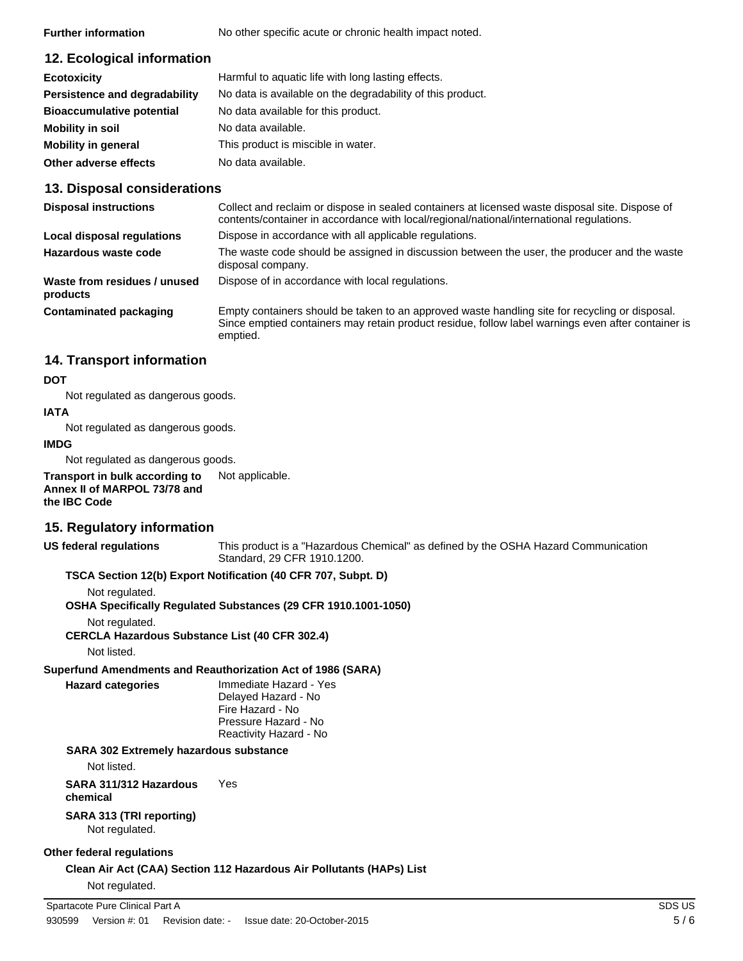**Further information** No other specific acute or chronic health impact noted.

## **12. Ecological information**

| <b>Ecotoxicity</b>               | Harmful to aquatic life with long lasting effects.         |
|----------------------------------|------------------------------------------------------------|
| Persistence and degradability    | No data is available on the degradability of this product. |
| <b>Bioaccumulative potential</b> | No data available for this product.                        |
| Mobility in soil                 | No data available.                                         |
| <b>Mobility in general</b>       | This product is miscible in water.                         |
| Other adverse effects            | No data available.                                         |

## **13. Disposal considerations**

| <b>Disposal instructions</b>             | Collect and reclaim or dispose in sealed containers at licensed waste disposal site. Dispose of<br>contents/container in accordance with local/regional/national/international regulations.                      |
|------------------------------------------|------------------------------------------------------------------------------------------------------------------------------------------------------------------------------------------------------------------|
| Local disposal regulations               | Dispose in accordance with all applicable regulations.                                                                                                                                                           |
| Hazardous waste code                     | The waste code should be assigned in discussion between the user, the producer and the waste<br>disposal company.                                                                                                |
| Waste from residues / unused<br>products | Dispose of in accordance with local regulations.                                                                                                                                                                 |
| <b>Contaminated packaging</b>            | Empty containers should be taken to an approved waste handling site for recycling or disposal.<br>Since emptied containers may retain product residue, follow label warnings even after container is<br>emptied. |

## **14. Transport information**

#### **DOT**

Not regulated as dangerous goods.

#### **IATA**

Not regulated as dangerous goods.

#### **IMDG**

Not regulated as dangerous goods.

**Transport in bulk according to** Not applicable. **Annex II of MARPOL 73/78 and the IBC Code**

### **15. Regulatory information**

#### **US federal regulations**

This product is a "Hazardous Chemical" as defined by the OSHA Hazard Communication Standard, 29 CFR 1910.1200.

#### **TSCA Section 12(b) Export Notification (40 CFR 707, Subpt. D)**

Not regulated.

**OSHA Specifically Regulated Substances (29 CFR 1910.1001-1050)**

#### Not regulated.

**CERCLA Hazardous Substance List (40 CFR 302.4)**

Not listed.

## **Superfund Amendments and Reauthorization Act of 1986 (SARA)**

**Hazard categories**

Immediate Hazard - Yes Delayed Hazard - No Fire Hazard - No Pressure Hazard - No Reactivity Hazard - No

### **SARA 302 Extremely hazardous substance**

Not listed.

**SARA 311/312 Hazardous** Yes **chemical**

### **SARA 313 (TRI reporting)**

Not regulated.

### **Other federal regulations**

**Clean Air Act (CAA) Section 112 Hazardous Air Pollutants (HAPs) List** Not regulated.